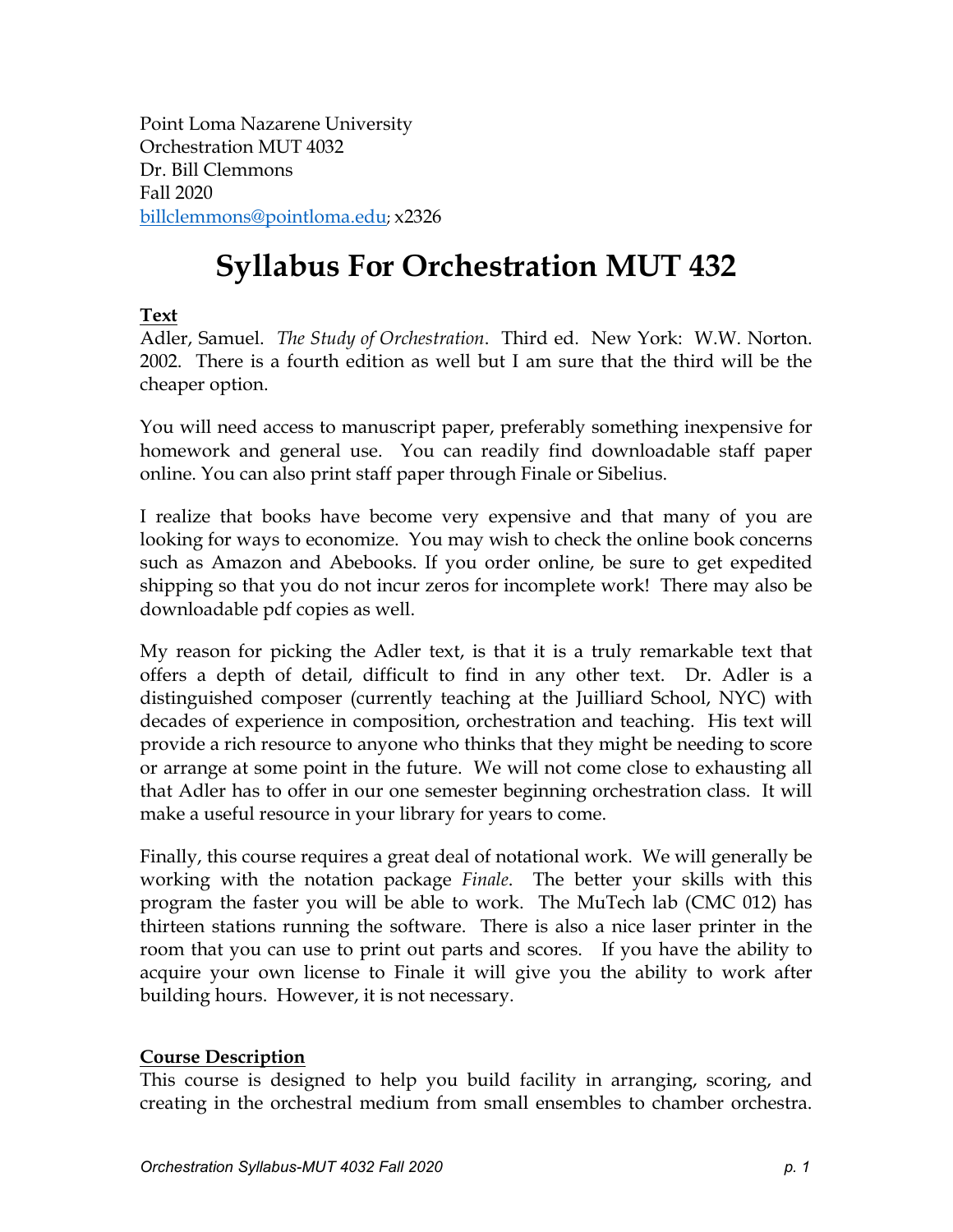Point Loma Nazarene University Orchestration MUT 4032 Dr. Bill Clemmons Fall 2020 [billclemmons@pointloma.edu;](mailto:billclemmons@pointloma.edu) x2326

# **Syllabus For Orchestration MUT 432**

# **Text**

Adler, Samuel. *The Study of Orchestration*. Third ed. New York: W.W. Norton. 2002. There is a fourth edition as well but I am sure that the third will be the cheaper option.

You will need access to manuscript paper, preferably something inexpensive for homework and general use. You can readily find downloadable staff paper online. You can also print staff paper through Finale or Sibelius.

I realize that books have become very expensive and that many of you are looking for ways to economize. You may wish to check the online book concerns such as Amazon and Abebooks. If you order online, be sure to get expedited shipping so that you do not incur zeros for incomplete work! There may also be downloadable pdf copies as well.

My reason for picking the Adler text, is that it is a truly remarkable text that offers a depth of detail, difficult to find in any other text. Dr. Adler is a distinguished composer (currently teaching at the Juilliard School, NYC) with decades of experience in composition, orchestration and teaching. His text will provide a rich resource to anyone who thinks that they might be needing to score or arrange at some point in the future. We will not come close to exhausting all that Adler has to offer in our one semester beginning orchestration class. It will make a useful resource in your library for years to come.

Finally, this course requires a great deal of notational work. We will generally be working with the notation package *Finale*. The better your skills with this program the faster you will be able to work. The MuTech lab (CMC 012) has thirteen stations running the software. There is also a nice laser printer in the room that you can use to print out parts and scores. If you have the ability to acquire your own license to Finale it will give you the ability to work after building hours. However, it is not necessary.

# **Course Description**

This course is designed to help you build facility in arranging, scoring, and creating in the orchestral medium from small ensembles to chamber orchestra.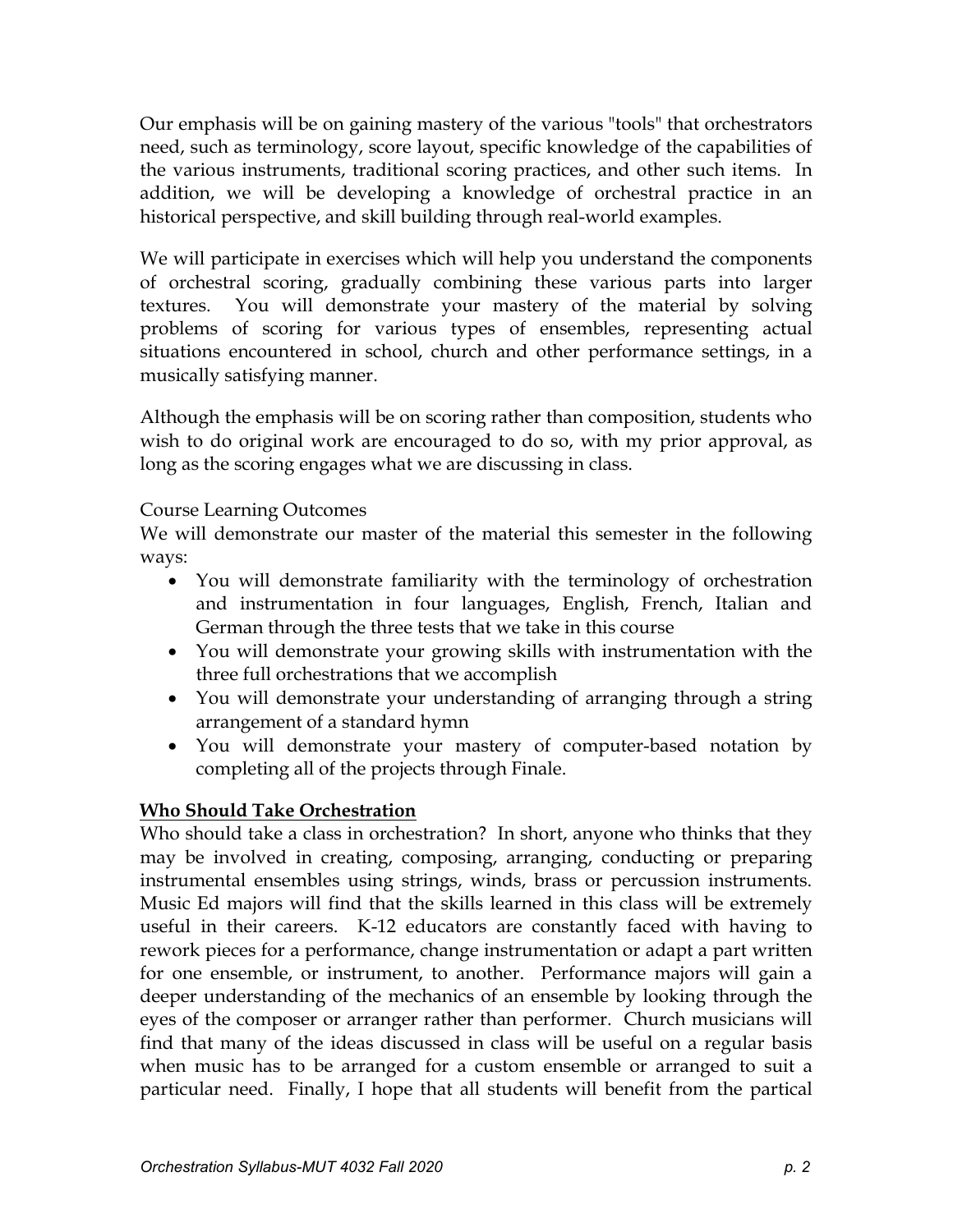Our emphasis will be on gaining mastery of the various "tools" that orchestrators need, such as terminology, score layout, specific knowledge of the capabilities of the various instruments, traditional scoring practices, and other such items. In addition, we will be developing a knowledge of orchestral practice in an historical perspective, and skill building through real-world examples.

We will participate in exercises which will help you understand the components of orchestral scoring, gradually combining these various parts into larger textures. You will demonstrate your mastery of the material by solving problems of scoring for various types of ensembles, representing actual situations encountered in school, church and other performance settings, in a musically satisfying manner.

Although the emphasis will be on scoring rather than composition, students who wish to do original work are encouraged to do so, with my prior approval, as long as the scoring engages what we are discussing in class.

# Course Learning Outcomes

We will demonstrate our master of the material this semester in the following ways:

- You will demonstrate familiarity with the terminology of orchestration and instrumentation in four languages, English, French, Italian and German through the three tests that we take in this course
- You will demonstrate your growing skills with instrumentation with the three full orchestrations that we accomplish
- You will demonstrate your understanding of arranging through a string arrangement of a standard hymn
- You will demonstrate your mastery of computer-based notation by completing all of the projects through Finale.

# **Who Should Take Orchestration**

Who should take a class in orchestration? In short, anyone who thinks that they may be involved in creating, composing, arranging, conducting or preparing instrumental ensembles using strings, winds, brass or percussion instruments. Music Ed majors will find that the skills learned in this class will be extremely useful in their careers. K-12 educators are constantly faced with having to rework pieces for a performance, change instrumentation or adapt a part written for one ensemble, or instrument, to another. Performance majors will gain a deeper understanding of the mechanics of an ensemble by looking through the eyes of the composer or arranger rather than performer. Church musicians will find that many of the ideas discussed in class will be useful on a regular basis when music has to be arranged for a custom ensemble or arranged to suit a particular need. Finally, I hope that all students will benefit from the partical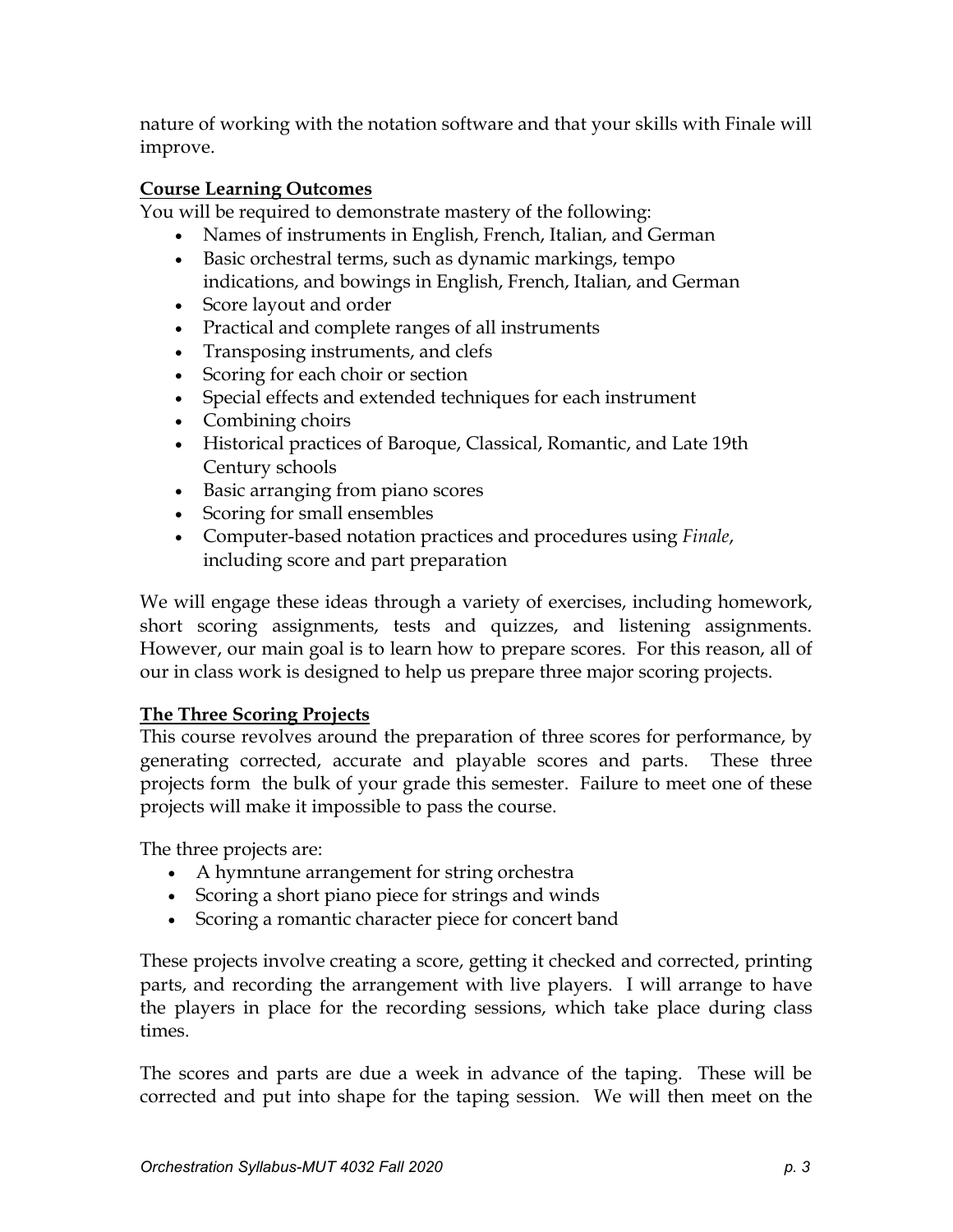nature of working with the notation software and that your skills with Finale will improve.

# **Course Learning Outcomes**

You will be required to demonstrate mastery of the following:

- Names of instruments in English, French, Italian, and German
- Basic orchestral terms, such as dynamic markings, tempo indications, and bowings in English, French, Italian, and German
- Score layout and order
- Practical and complete ranges of all instruments
- Transposing instruments, and clefs
- Scoring for each choir or section
- Special effects and extended techniques for each instrument
- Combining choirs
- Historical practices of Baroque, Classical, Romantic, and Late 19th Century schools
- Basic arranging from piano scores
- Scoring for small ensembles
- Computer-based notation practices and procedures using *Finale*, including score and part preparation

We will engage these ideas through a variety of exercises, including homework, short scoring assignments, tests and quizzes, and listening assignments. However, our main goal is to learn how to prepare scores. For this reason, all of our in class work is designed to help us prepare three major scoring projects.

# **The Three Scoring Projects**

This course revolves around the preparation of three scores for performance, by generating corrected, accurate and playable scores and parts. These three projects form the bulk of your grade this semester. Failure to meet one of these projects will make it impossible to pass the course.

The three projects are:

- A hymntune arrangement for string orchestra
- Scoring a short piano piece for strings and winds
- Scoring a romantic character piece for concert band

These projects involve creating a score, getting it checked and corrected, printing parts, and recording the arrangement with live players. I will arrange to have the players in place for the recording sessions, which take place during class times.

The scores and parts are due a week in advance of the taping. These will be corrected and put into shape for the taping session. We will then meet on the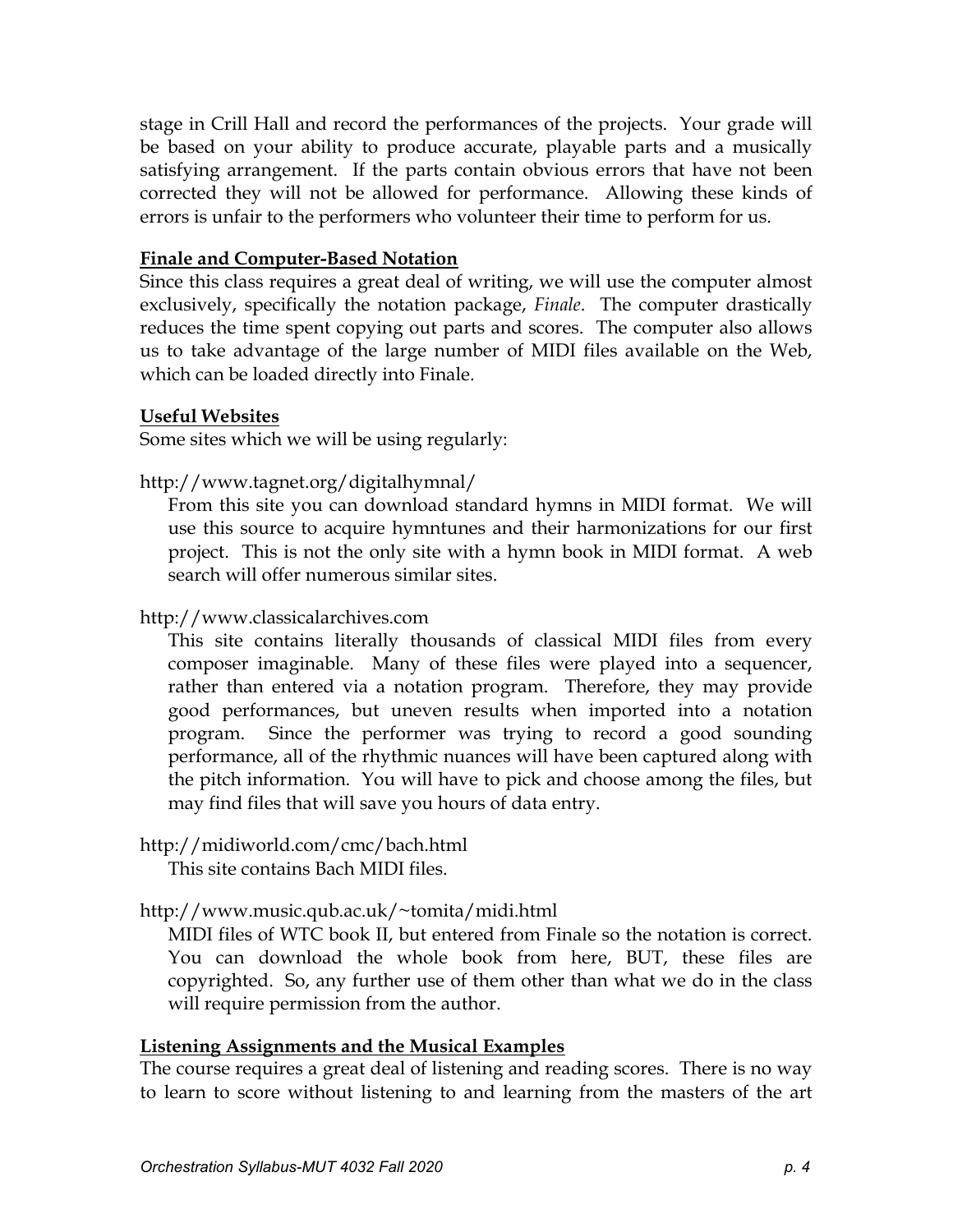stage in Crill Hall and record the performances of the projects. Your grade will be based on your ability to produce accurate, playable parts and a musically satisfying arrangement. If the parts contain obvious errors that have not been corrected they will not be allowed for performance. Allowing these kinds of errors is unfair to the performers who volunteer their time to perform for us.

#### **Finale and Computer-Based Notation**

Since this class requires a great deal of writing, we will use the computer almost exclusively, specifically the notation package, *Finale*. The computer drastically reduces the time spent copying out parts and scores. The computer also allows us to take advantage of the large number of MIDI files available on the Web, which can be loaded directly into Finale.

#### **Useful Websites**

Some sites which we will be using regularly:

http://www.tagnet.org/digitalhymnal/

From this site you can download standard hymns in MIDI format. We will use this source to acquire hymntunes and their harmonizations for our first project. This is not the only site with a hymn book in MIDI format. A web search will offer numerous similar sites.

[http://www.c](http://www.prs.net/midi.html)lassicalarchives.com

This site contains literally thousands of classical MIDI files from every composer imaginable. Many of these files were played into a sequencer, rather than entered via a notation program. Therefore, they may provide good performances, but uneven results when imported into a notation program. Since the performer was trying to record a good sounding performance, all of the rhythmic nuances will have been captured along with the pitch information. You will have to pick and choose among the files, but may find files that will save you hours of data entry.

# <http://midiworld.com/cmc/bach.html>

This site contains Bach MIDI files.

# [http://www.music.qub.ac.uk/~tomita/midi.html](http://www.music.qub.ac.uk/%7Etomita/midi.html)

MIDI files of WTC book II, but entered from Finale so the notation is correct. You can download the whole book from here, BUT, these files are copyrighted. So, any further use of them other than what we do in the class will require permission from the author.

# **Listening Assignments and the Musical Examples**

The course requires a great deal of listening and reading scores. There is no way to learn to score without listening to and learning from the masters of the art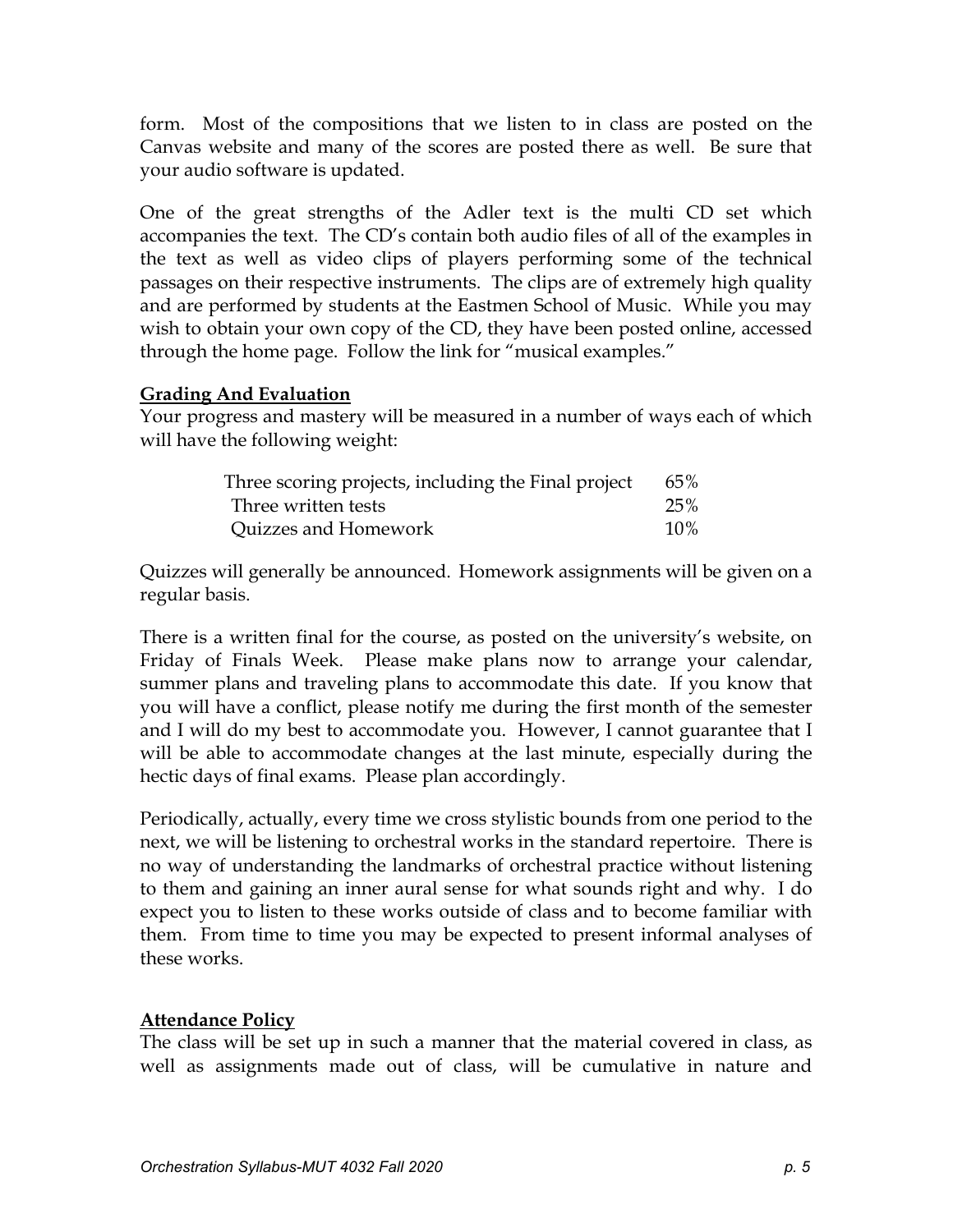form. Most of the compositions that we listen to in class are posted on the Canvas website and many of the scores are posted there as well. Be sure that your audio software is updated.

One of the great strengths of the Adler text is the multi CD set which accompanies the text. The CD's contain both audio files of all of the examples in the text as well as video clips of players performing some of the technical passages on their respective instruments. The clips are of extremely high quality and are performed by students at the Eastmen School of Music. While you may wish to obtain your own copy of the CD, they have been posted online, accessed through the home page. Follow the link for "musical examples."

#### **Grading And Evaluation**

Your progress and mastery will be measured in a number of ways each of which will have the following weight:

| Three scoring projects, including the Final project | 65%    |
|-----------------------------------------------------|--------|
| Three written tests                                 | 25%    |
| Quizzes and Homework                                | $10\%$ |

Quizzes will generally be announced. Homework assignments will be given on a regular basis.

There is a written final for the course, as posted on the university's website, on Friday of Finals Week. Please make plans now to arrange your calendar, summer plans and traveling plans to accommodate this date. If you know that you will have a conflict, please notify me during the first month of the semester and I will do my best to accommodate you. However, I cannot guarantee that I will be able to accommodate changes at the last minute, especially during the hectic days of final exams. Please plan accordingly.

Periodically, actually, every time we cross stylistic bounds from one period to the next, we will be listening to orchestral works in the standard repertoire. There is no way of understanding the landmarks of orchestral practice without listening to them and gaining an inner aural sense for what sounds right and why. I do expect you to listen to these works outside of class and to become familiar with them. From time to time you may be expected to present informal analyses of these works.

# **Attendance Policy**

The class will be set up in such a manner that the material covered in class, as well as assignments made out of class, will be cumulative in nature and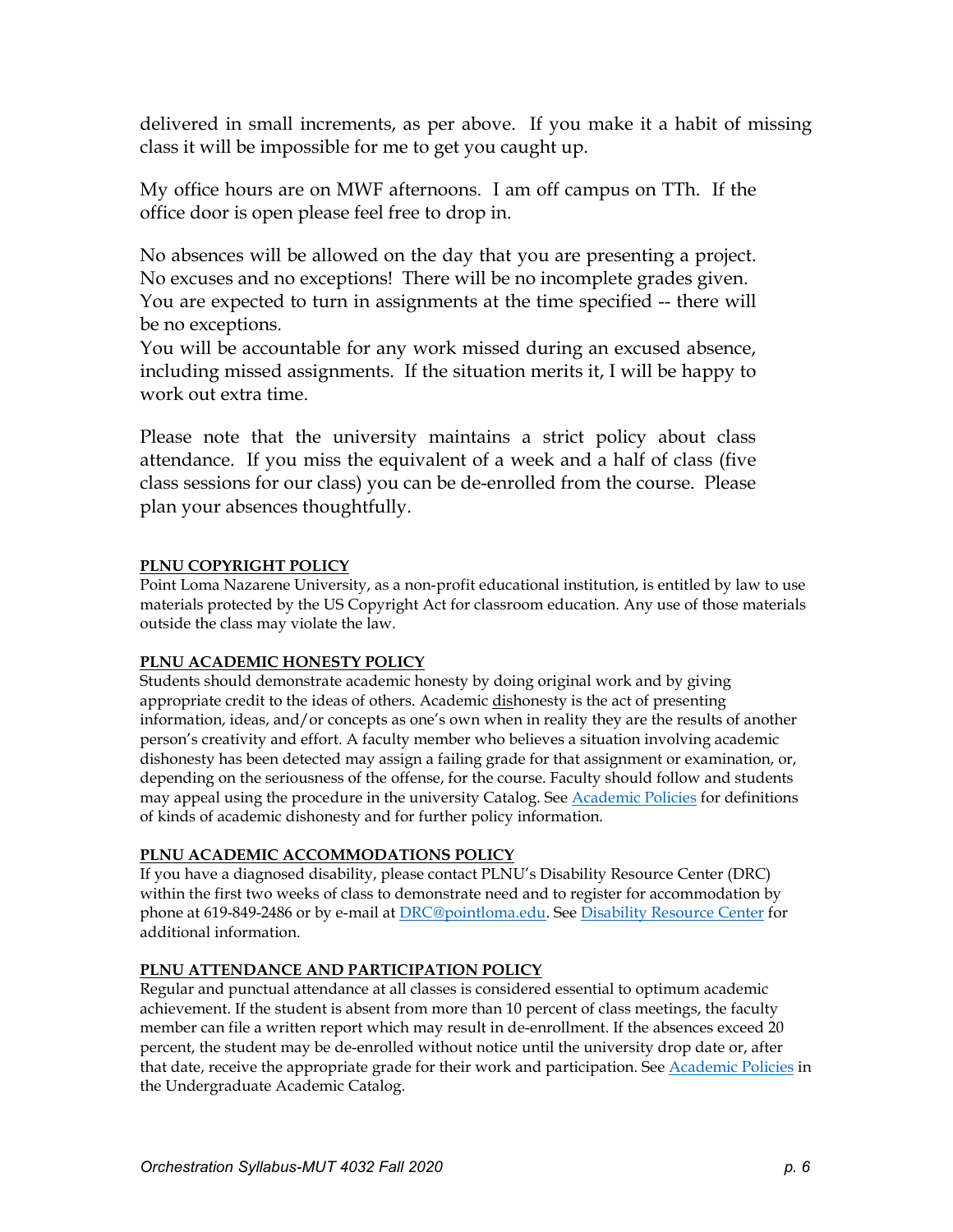delivered in small increments, as per above. If you make it a habit of missing class it will be impossible for me to get you caught up.

My office hours are on MWF afternoons. I am off campus on TTh. If the office door is open please feel free to drop in.

No absences will be allowed on the day that you are presenting a project. No excuses and no exceptions! There will be no incomplete grades given. You are expected to turn in assignments at the time specified -- there will be no exceptions.

You will be accountable for any work missed during an excused absence, including missed assignments. If the situation merits it, I will be happy to work out extra time.

Please note that the university maintains a strict policy about class attendance. If you miss the equivalent of a week and a half of class (five class sessions for our class) you can be de-enrolled from the course. Please plan your absences thoughtfully.

#### **PLNU COPYRIGHT POLICY**

Point Loma Nazarene University, as a non-profit educational institution, is entitled by law to use materials protected by the US Copyright Act for classroom education. Any use of those materials outside the class may violate the law.

#### **PLNU ACADEMIC HONESTY POLICY**

Students should demonstrate academic honesty by doing original work and by giving appropriate credit to the ideas of others. Academic dishonesty is the act of presenting information, ideas, and/or concepts as one's own when in reality they are the results of another person's creativity and effort. A faculty member who believes a situation involving academic dishonesty has been detected may assign a failing grade for that assignment or examination, or, depending on the seriousness of the offense, for the course. Faculty should follow and students may appeal using the procedure in the university Catalog. See [Academic Policies](http://catalog.pointloma.edu/content.php?catoid=18&navoid=1278) for definitions of kinds of academic dishonesty and for further policy information.

#### **PLNU ACADEMIC ACCOMMODATIONS POLICY**

If you have a diagnosed disability, please contact PLNU's Disability Resource Center (DRC) within the first two weeks of class to demonstrate need and to register for accommodation by phone at 619-849-2486 or by e-mail at [DRC@pointloma.edu.](mailto:DRC@pointloma.edu) See [Disability Resource Center](http://www.pointloma.edu/experience/offices/administrative-offices/academic-advising-office/disability-resource-center) for additional information.

#### **PLNU ATTENDANCE AND PARTICIPATION POLICY**

Regular and punctual attendance at all classes is considered essential to optimum academic achievement. If the student is absent from more than 10 percent of class meetings, the faculty member can file a written report which may result in de-enrollment. If the absences exceed 20 percent, the student may be de-enrolled without notice until the university drop date or, after that date, receive the appropriate grade for their work and participation. See [Academic Policies](http://catalog.pointloma.edu/content.php?catoid=18&navoid=1278) in the Undergraduate Academic Catalog.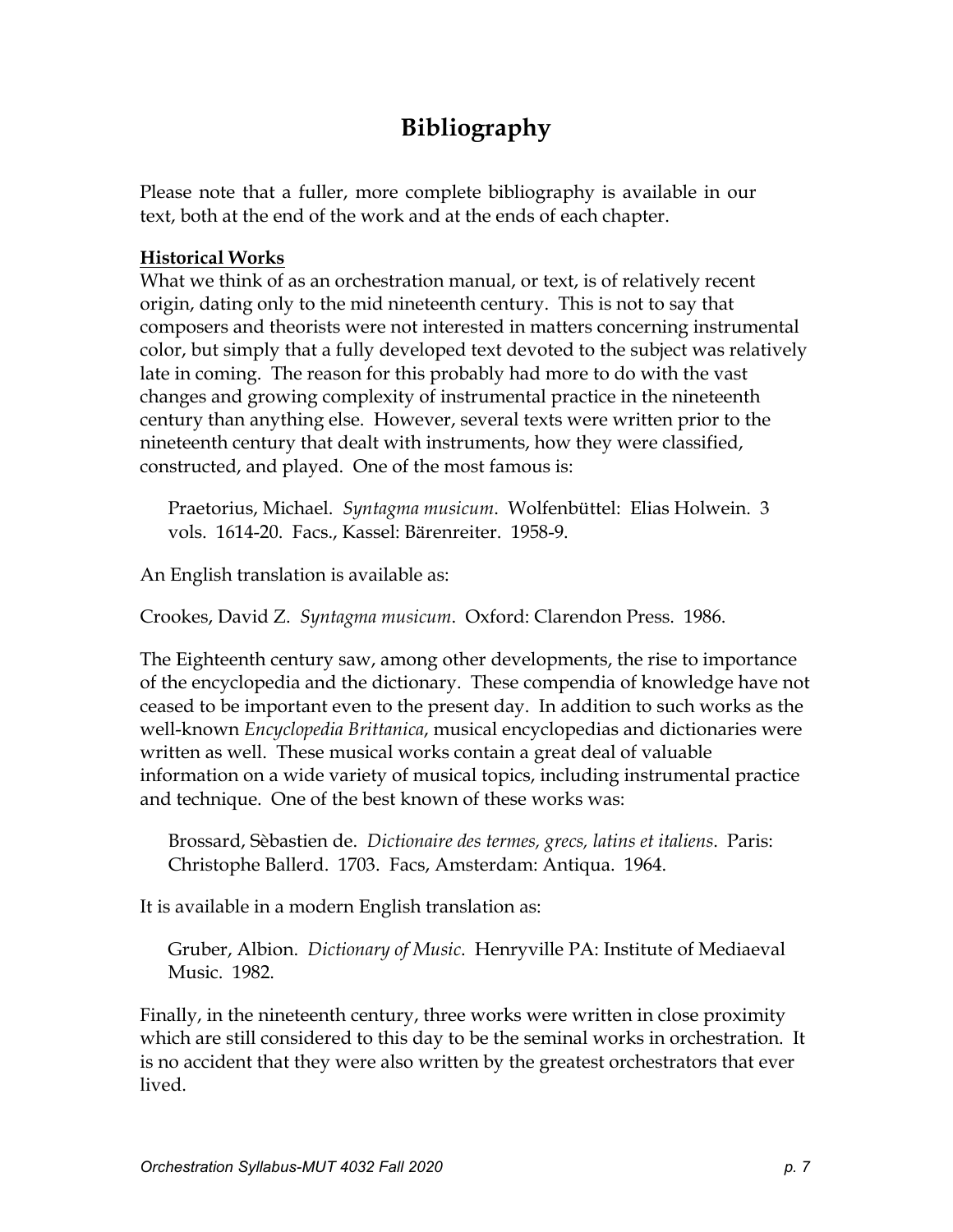# **Bibliography**

Please note that a fuller, more complete bibliography is available in our text, both at the end of the work and at the ends of each chapter.

#### **Historical Works**

What we think of as an orchestration manual, or text, is of relatively recent origin, dating only to the mid nineteenth century. This is not to say that composers and theorists were not interested in matters concerning instrumental color, but simply that a fully developed text devoted to the subject was relatively late in coming. The reason for this probably had more to do with the vast changes and growing complexity of instrumental practice in the nineteenth century than anything else. However, several texts were written prior to the nineteenth century that dealt with instruments, how they were classified, constructed, and played. One of the most famous is:

Praetorius, Michael. *Syntagma musicum*. Wolfenbüttel: Elias Holwein. 3 vols. 1614-20. Facs., Kassel: Bärenreiter. 1958-9.

An English translation is available as:

Crookes, David Z. *Syntagma musicum*. Oxford: Clarendon Press. 1986.

The Eighteenth century saw, among other developments, the rise to importance of the encyclopedia and the dictionary. These compendia of knowledge have not ceased to be important even to the present day. In addition to such works as the well-known *Encyclopedia Brittanica*, musical encyclopedias and dictionaries were written as well. These musical works contain a great deal of valuable information on a wide variety of musical topics, including instrumental practice and technique. One of the best known of these works was:

Brossard, Sèbastien de. *Dictionaire des termes, grecs, latins et italiens*. Paris: Christophe Ballerd. 1703. Facs, Amsterdam: Antiqua. 1964.

It is available in a modern English translation as:

Gruber, Albion. *Dictionary of Music*. Henryville PA: Institute of Mediaeval Music. 1982.

Finally, in the nineteenth century, three works were written in close proximity which are still considered to this day to be the seminal works in orchestration. It is no accident that they were also written by the greatest orchestrators that ever lived.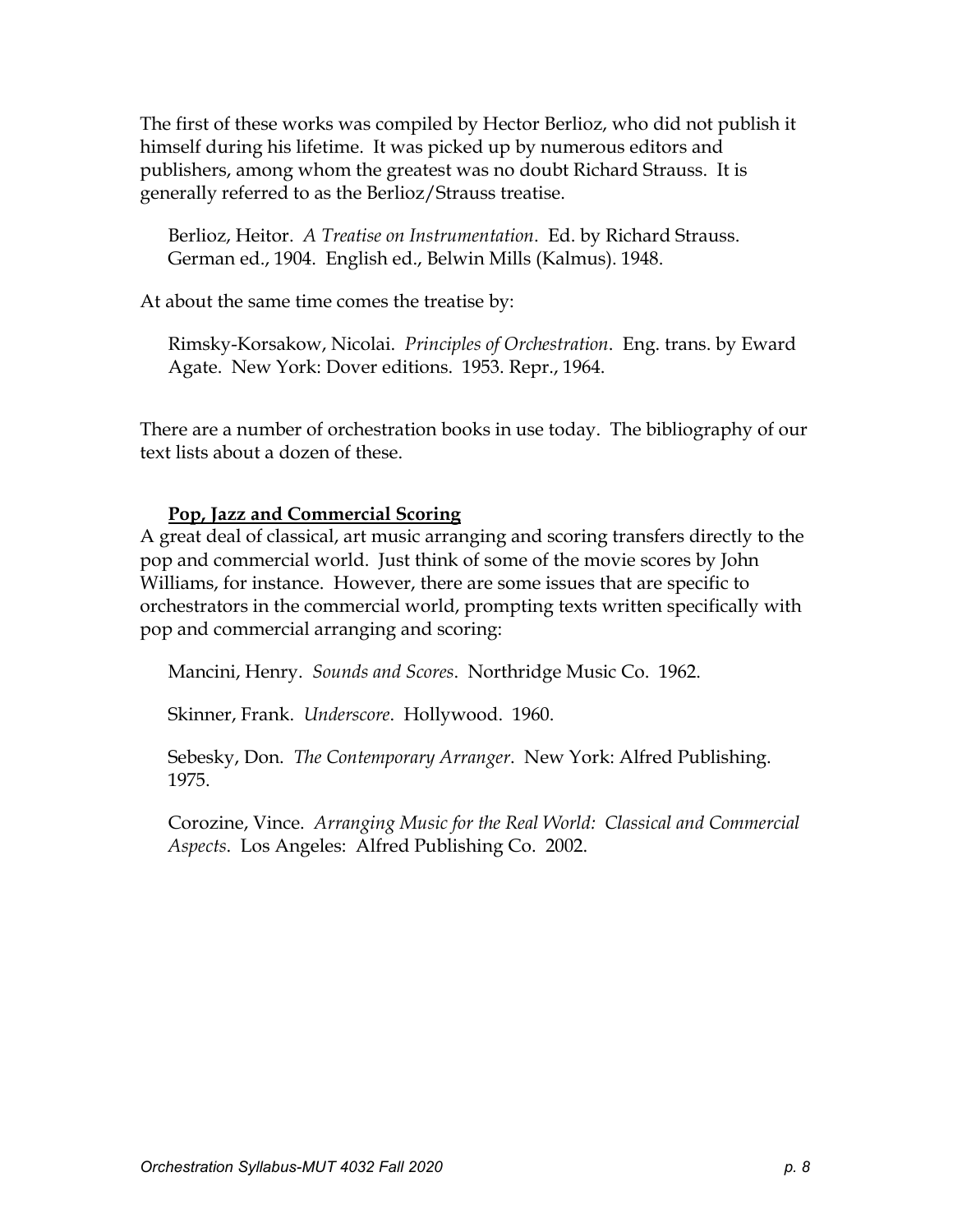The first of these works was compiled by Hector Berlioz, who did not publish it himself during his lifetime. It was picked up by numerous editors and publishers, among whom the greatest was no doubt Richard Strauss. It is generally referred to as the Berlioz/Strauss treatise.

Berlioz, Heitor. *A Treatise on Instrumentation*. Ed. by Richard Strauss. German ed., 1904. English ed., Belwin Mills (Kalmus). 1948.

At about the same time comes the treatise by:

Rimsky-Korsakow, Nicolai. *Principles of Orchestration*. Eng. trans. by Eward Agate. New York: Dover editions. 1953. Repr., 1964.

There are a number of orchestration books in use today. The bibliography of our text lists about a dozen of these.

# **Pop, Jazz and Commercial Scoring**

A great deal of classical, art music arranging and scoring transfers directly to the pop and commercial world. Just think of some of the movie scores by John Williams, for instance. However, there are some issues that are specific to orchestrators in the commercial world, prompting texts written specifically with pop and commercial arranging and scoring:

Mancini, Henry. *Sounds and Scores*. Northridge Music Co. 1962.

Skinner, Frank. *Underscore*. Hollywood. 1960.

Sebesky, Don. *The Contemporary Arranger*. New York: Alfred Publishing. 1975.

Corozine, Vince. *Arranging Music for the Real World: Classical and Commercial Aspects*. Los Angeles: Alfred Publishing Co. 2002.